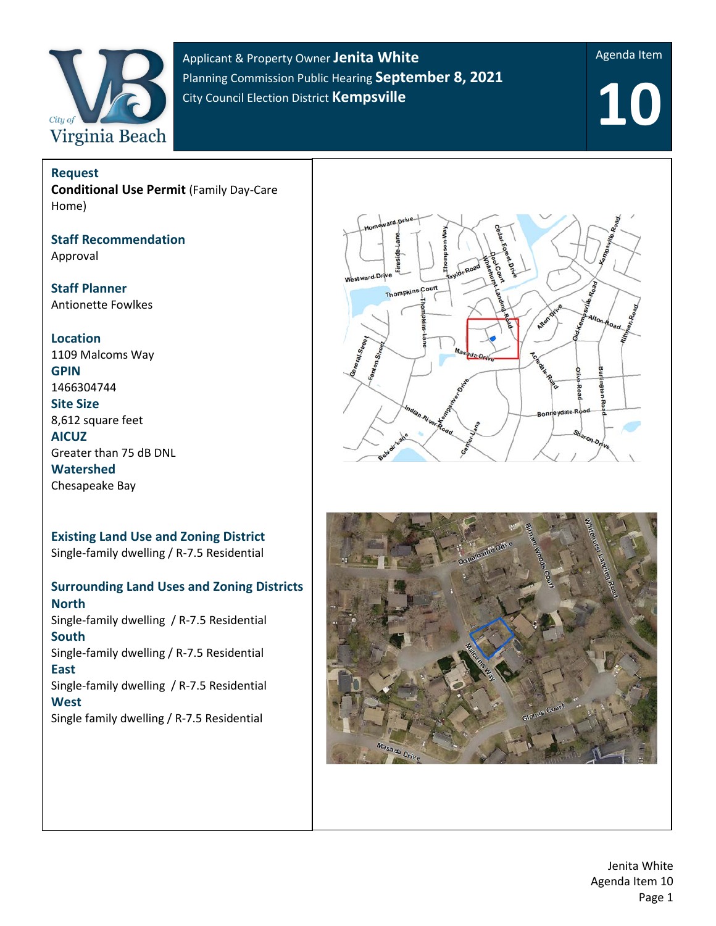

Applicant & Property Owner **Jenita White**  Planning Commission Public Hearing **September 8, 2021** City Council Election District **Kempsville**

Agenda Item

**10**

**Request Conditional Use Permit** (Family Day-Care Home)

**Staff Recommendation** Approval

**Staff Planner** Antionette Fowlkes

**Location**

1109 Malcoms Way **GPIN** 1466304744 **Site Size** 8,612 square feet **AICUZ** Greater than 75 dB DNL **Watershed** Chesapeake Bay

**Existing Land Use and Zoning District**  Single-family dwelling / R-7.5 Residential

### **Surrounding Land Uses and Zoning Districts North** Single-family dwelling / R-7.5 Residential **South** Single-family dwelling / R-7.5 Residential **East** Single-family dwelling / R-7.5 Residential **West**

Single family dwelling / R-7.5 Residential



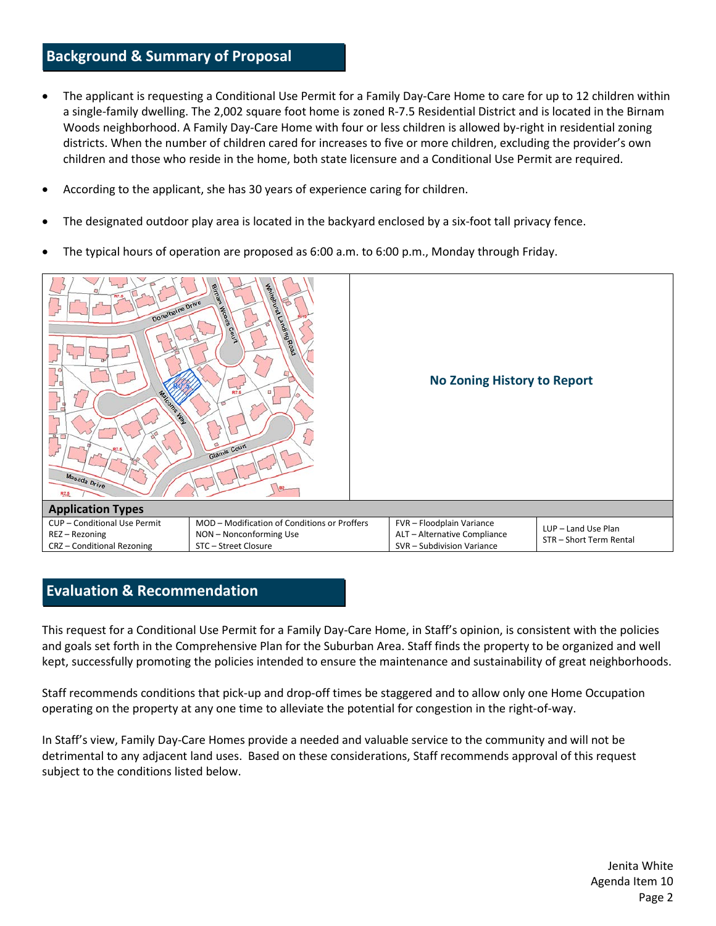# **Background & Summary of Proposal**

- The applicant is requesting a Conditional Use Permit for a Family Day-Care Home to care for up to 12 children within a single-family dwelling. The 2,002 square foot home is zoned R-7.5 Residential District and is located in the Birnam Woods neighborhood. A Family Day-Care Home with four or less children is allowed by-right in residential zoning districts. When the number of children cared for increases to five or more children, excluding the provider's own children and those who reside in the home, both state licensure and a Conditional Use Permit are required.
- According to the applicant, she has 30 years of experience caring for children.
- The designated outdoor play area is located in the backyard enclosed by a six-foot tall privacy fence.
- The typical hours of operation are proposed as 6:00 a.m. to 6:00 p.m., Monday through Friday.



## **Evaluation & Recommendation**

This request for a Conditional Use Permit for a Family Day-Care Home, in Staff's opinion, is consistent with the policies and goals set forth in the Comprehensive Plan for the Suburban Area. Staff finds the property to be organized and well kept, successfully promoting the policies intended to ensure the maintenance and sustainability of great neighborhoods.

Staff recommends conditions that pick-up and drop-off times be staggered and to allow only one Home Occupation operating on the property at any one time to alleviate the potential for congestion in the right-of-way.

In Staff's view, Family Day-Care Homes provide a needed and valuable service to the community and will not be detrimental to any adjacent land uses. Based on these considerations, Staff recommends approval of this request subject to the conditions listed below.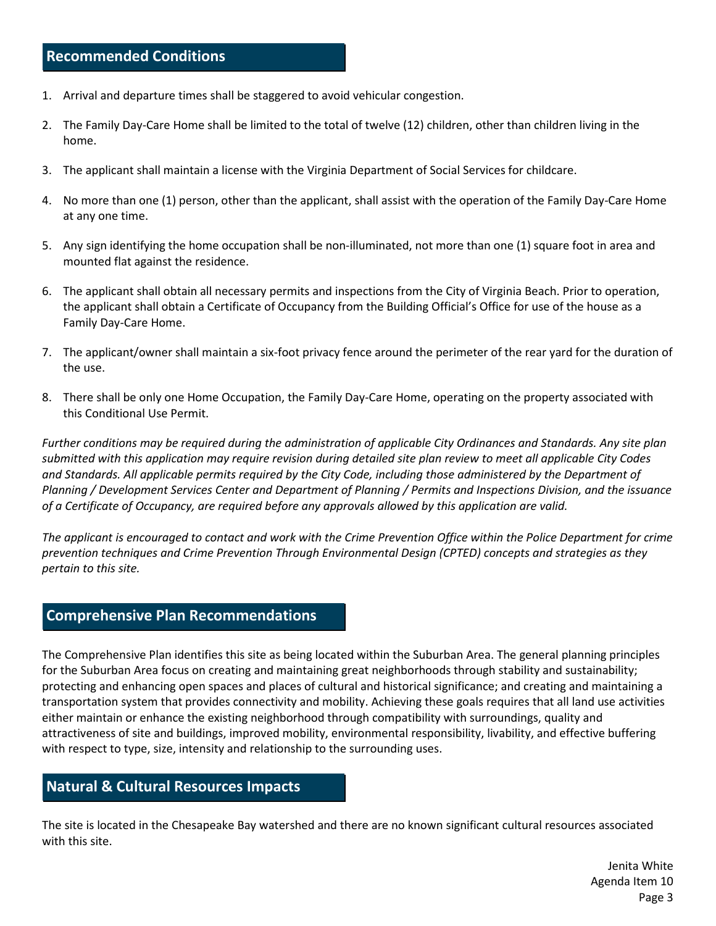# **Recommended Conditions**

- 1. Arrival and departure times shall be staggered to avoid vehicular congestion.
- 2. The Family Day-Care Home shall be limited to the total of twelve (12) children, other than children living in the home.
- 3. The applicant shall maintain a license with the Virginia Department of Social Services for childcare.
- 4. No more than one (1) person, other than the applicant, shall assist with the operation of the Family Day-Care Home at any one time.
- 5. Any sign identifying the home occupation shall be non-illuminated, not more than one (1) square foot in area and mounted flat against the residence.
- 6. The applicant shall obtain all necessary permits and inspections from the City of Virginia Beach. Prior to operation, the applicant shall obtain a Certificate of Occupancy from the Building Official's Office for use of the house as a Family Day-Care Home.
- 7. The applicant/owner shall maintain a six-foot privacy fence around the perimeter of the rear yard for the duration of the use.
- 8. There shall be only one Home Occupation, the Family Day-Care Home, operating on the property associated with this Conditional Use Permit.

*Further conditions may be required during the administration of applicable City Ordinances and Standards. Any site plan submitted with this application may require revision during detailed site plan review to meet all applicable City Codes and Standards. All applicable permits required by the City Code, including those administered by the Department of Planning / Development Services Center and Department of Planning / Permits and Inspections Division, and the issuance of a Certificate of Occupancy, are required before any approvals allowed by this application are valid.*

*The applicant is encouraged to contact and work with the Crime Prevention Office within the Police Department for crime prevention techniques and Crime Prevention Through Environmental Design (CPTED) concepts and strategies as they pertain to this site.*

#### **Comprehensive Plan Recommendations**

The Comprehensive Plan identifies this site as being located within the Suburban Area. The general planning principles for the Suburban Area focus on creating and maintaining great neighborhoods through stability and sustainability; protecting and enhancing open spaces and places of cultural and historical significance; and creating and maintaining a transportation system that provides connectivity and mobility. Achieving these goals requires that all land use activities either maintain or enhance the existing neighborhood through compatibility with surroundings, quality and attractiveness of site and buildings, improved mobility, environmental responsibility, livability, and effective buffering with respect to type, size, intensity and relationship to the surrounding uses.

#### **Natural & Cultural Resources Impacts**

The site is located in the Chesapeake Bay watershed and there are no known significant cultural resources associated with this site.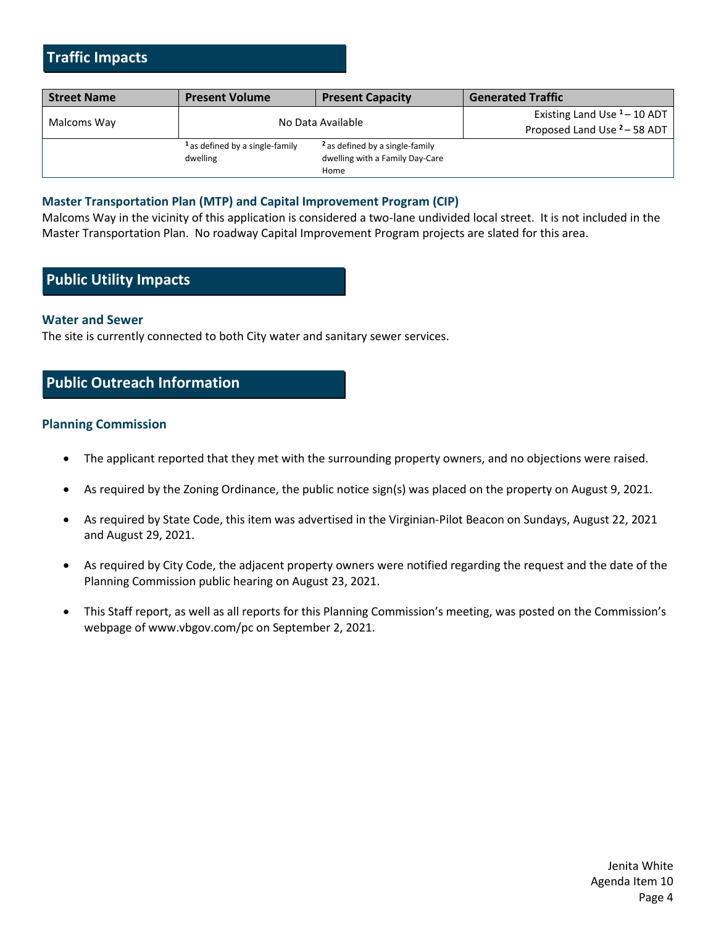# **Traffic Impacts**

| <b>Street Name</b> | <b>Present Volume</b>                      | <b>Present Capacity</b>                    | <b>Generated Traffic</b>                |
|--------------------|--------------------------------------------|--------------------------------------------|-----------------------------------------|
| Malcoms Way        |                                            | No Data Available                          | Existing Land Use $1 - 10$ ADT          |
|                    |                                            |                                            | Proposed Land Use <sup>2</sup> - 58 ADT |
|                    | <sup>1</sup> as defined by a single-family | <sup>2</sup> as defined by a single-family |                                         |
|                    | dwelling                                   | dwelling with a Family Day-Care            |                                         |
|                    |                                            | Home                                       |                                         |

#### **Master Transportation Plan (MTP) and Capital Improvement Program (CIP)**

Malcoms Way in the vicinity of this application is considered a two-lane undivided local street. It is not included in the Master Transportation Plan. No roadway Capital Improvement Program projects are slated for this area.

# **Public Utility Impacts**

#### **Water and Sewer**

The site is currently connected to both City water and sanitary sewer services.

## **Public Outreach Information**

#### **Planning Commission**

- The applicant reported that they met with the surrounding property owners, and no objections were raised.
- As required by the Zoning Ordinance, the public notice sign(s) was placed on the property on August 9, 2021.
- As required by State Code, this item was advertised in the Virginian-Pilot Beacon on Sundays, August 22, 2021 and August 29, 2021.
- As required by City Code, the adjacent property owners were notified regarding the request and the date of the Planning Commission public hearing on August 23, 2021.
- This Staff report, as well as all reports for this Planning Commission's meeting, was posted on the Commission's webpage of [www.vbgov.com/pc](http://www.vbgov.com/pc) on September 2, 2021.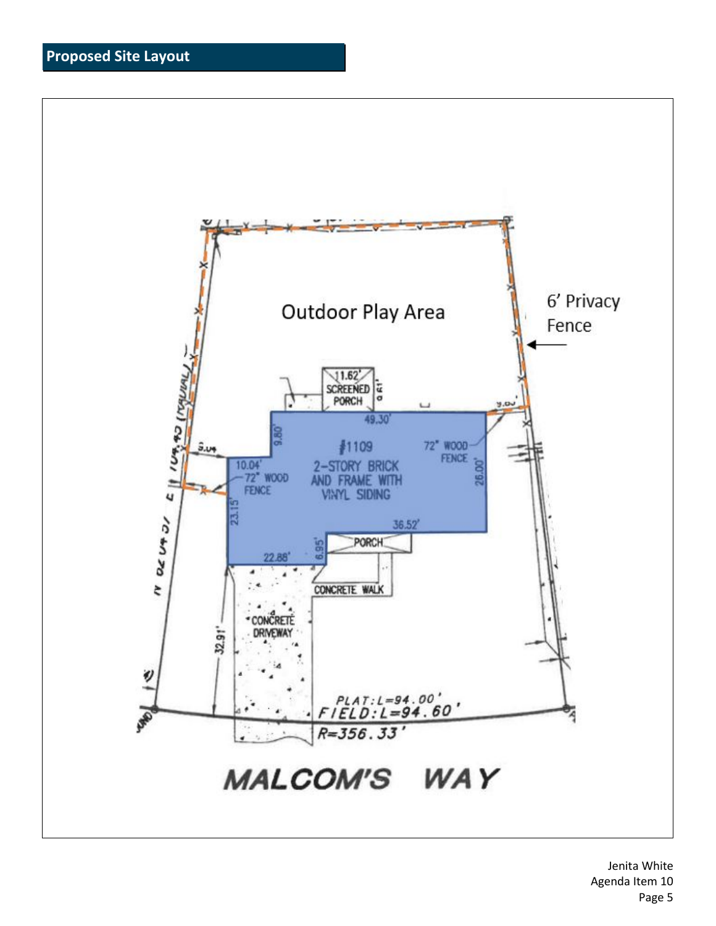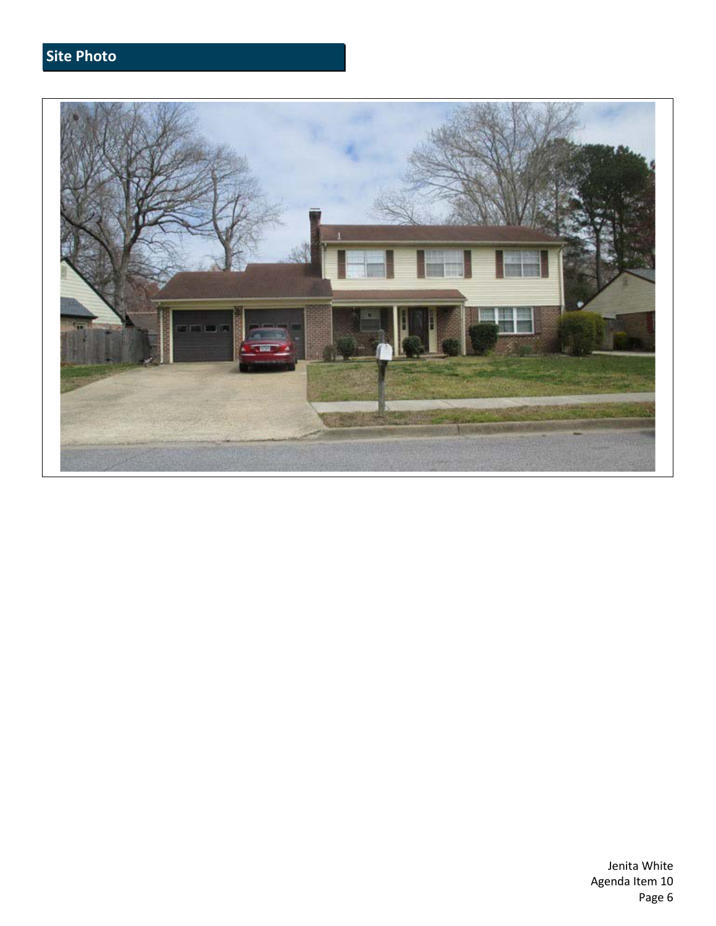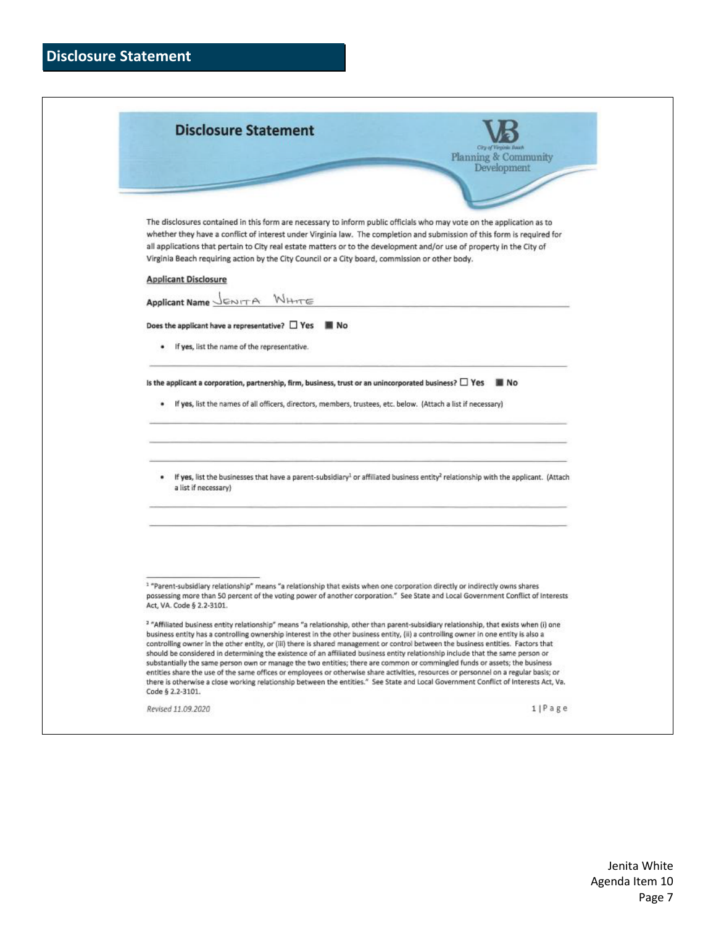| <b>Disclosure Statement</b> |  |
|-----------------------------|--|
|-----------------------------|--|

| <b>Disclosure Statement</b>                                                                                                                                                                                                                                                                                                                                                                                                                                                                                                                                                                                                                                                                                                                                                                                                                                                                                                                                                    |                      |
|--------------------------------------------------------------------------------------------------------------------------------------------------------------------------------------------------------------------------------------------------------------------------------------------------------------------------------------------------------------------------------------------------------------------------------------------------------------------------------------------------------------------------------------------------------------------------------------------------------------------------------------------------------------------------------------------------------------------------------------------------------------------------------------------------------------------------------------------------------------------------------------------------------------------------------------------------------------------------------|----------------------|
|                                                                                                                                                                                                                                                                                                                                                                                                                                                                                                                                                                                                                                                                                                                                                                                                                                                                                                                                                                                | Planning & Community |
|                                                                                                                                                                                                                                                                                                                                                                                                                                                                                                                                                                                                                                                                                                                                                                                                                                                                                                                                                                                | Development          |
|                                                                                                                                                                                                                                                                                                                                                                                                                                                                                                                                                                                                                                                                                                                                                                                                                                                                                                                                                                                |                      |
| The disclosures contained in this form are necessary to inform public officials who may vote on the application as to                                                                                                                                                                                                                                                                                                                                                                                                                                                                                                                                                                                                                                                                                                                                                                                                                                                          |                      |
| whether they have a conflict of interest under Virginia law. The completion and submission of this form is required for<br>all applications that pertain to City real estate matters or to the development and/or use of property in the City of                                                                                                                                                                                                                                                                                                                                                                                                                                                                                                                                                                                                                                                                                                                               |                      |
| Virginia Beach requiring action by the City Council or a City board, commission or other body.                                                                                                                                                                                                                                                                                                                                                                                                                                                                                                                                                                                                                                                                                                                                                                                                                                                                                 |                      |
| <b>Applicant Disclosure</b>                                                                                                                                                                                                                                                                                                                                                                                                                                                                                                                                                                                                                                                                                                                                                                                                                                                                                                                                                    |                      |
| Applicant Name JENITA WHITE                                                                                                                                                                                                                                                                                                                                                                                                                                                                                                                                                                                                                                                                                                                                                                                                                                                                                                                                                    |                      |
| Does the applicant have a representative? $\Box$ Yes<br>■ No                                                                                                                                                                                                                                                                                                                                                                                                                                                                                                                                                                                                                                                                                                                                                                                                                                                                                                                   |                      |
| If yes, list the name of the representative.                                                                                                                                                                                                                                                                                                                                                                                                                                                                                                                                                                                                                                                                                                                                                                                                                                                                                                                                   |                      |
| Is the applicant a corporation, partnership, firm, business, trust or an unincorporated business? $\Box$ Yes                                                                                                                                                                                                                                                                                                                                                                                                                                                                                                                                                                                                                                                                                                                                                                                                                                                                   | N <sub>O</sub>       |
| If yes, list the names of all officers, directors, members, trustees, etc. below. (Attach a list if necessary)                                                                                                                                                                                                                                                                                                                                                                                                                                                                                                                                                                                                                                                                                                                                                                                                                                                                 |                      |
|                                                                                                                                                                                                                                                                                                                                                                                                                                                                                                                                                                                                                                                                                                                                                                                                                                                                                                                                                                                |                      |
| . If yes, list the businesses that have a parent-subsidiary <sup>1</sup> or affiliated business entity <sup>2</sup> relationship with the applicant. (Attach<br>a list if necessary)                                                                                                                                                                                                                                                                                                                                                                                                                                                                                                                                                                                                                                                                                                                                                                                           |                      |
|                                                                                                                                                                                                                                                                                                                                                                                                                                                                                                                                                                                                                                                                                                                                                                                                                                                                                                                                                                                |                      |
| <sup>1</sup> "Parent-subsidiary relationship" means "a relationship that exists when one corporation directly or indirectly owns shares<br>possessing more than 50 percent of the voting power of another corporation." See State and Local Government Conflict of Interests<br>Act, VA. Code § 2.2-3101.                                                                                                                                                                                                                                                                                                                                                                                                                                                                                                                                                                                                                                                                      |                      |
| <sup>2</sup> "Affiliated business entity relationship" means "a relationship, other than parent-subsidiary relationship, that exists when (i) one<br>business entity has a controlling ownership interest in the other business entity, (ii) a controlling owner in one entity is also a<br>controlling owner in the other entity, or (iii) there is shared management or control between the business entities. Factors that<br>should be considered in determining the existence of an affiliated business entity relationship include that the same person or<br>substantially the same person own or manage the two entities; there are common or commingled funds or assets; the business<br>entities share the use of the same offices or employees or otherwise share activities, resources or personnel on a regular basis; or<br>there is otherwise a close working relationship between the entities." See State and Local Government Conflict of Interests Act, Va. |                      |
| Code § 2.2-3101.                                                                                                                                                                                                                                                                                                                                                                                                                                                                                                                                                                                                                                                                                                                                                                                                                                                                                                                                                               |                      |
| Revised 11.09.2020                                                                                                                                                                                                                                                                                                                                                                                                                                                                                                                                                                                                                                                                                                                                                                                                                                                                                                                                                             | 1 Page               |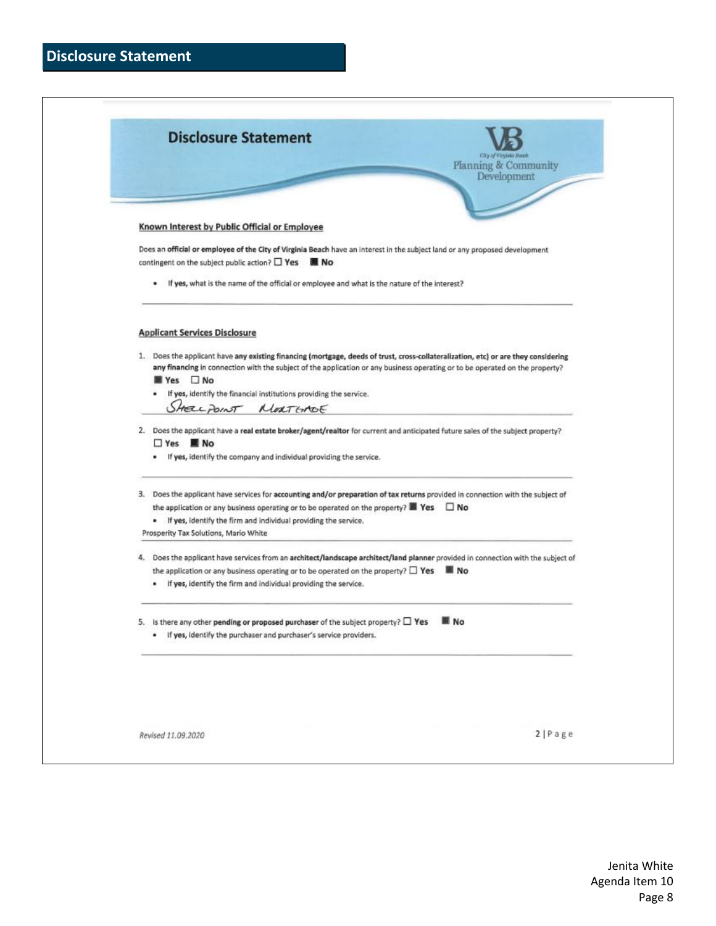| <b>Disclosure Statement</b> |  |
|-----------------------------|--|
|-----------------------------|--|

| Planning & Community<br>Development<br>If yes, what is the name of the official or employee and what is the nature of the interest?<br>٠<br>any financing in connection with the subject of the application or any business operating or to be operated on the property?<br>■ Yes □ No<br>If yes, identify the financial institutions providing the service.<br>SHELLPOINT MORTGADE | □ Yes ■ No<br>If yes, identify the company and individual providing the service. | 1. Does the applicant have any existing financing (mortgage, deeds of trust, cross-collateralization, etc) or are they considering<br>the application or any business operating or to be operated on the property? $\blacksquare$ Yes $\Box$ No<br>. If yes, identify the firm and individual providing the service. | Known Interest by Public Official or Employee<br>Does an official or employee of the City of Virginia Beach have an interest in the subject land or any proposed development<br>contingent on the subject public action? $\square$ Yes $\square$ No<br><b>Applicant Services Disclosure</b><br>2. Does the applicant have a real estate broker/agent/realtor for current and anticipated future sales of the subject property?<br>3. Does the applicant have services for accounting and/or preparation of tax returns provided in connection with the subject of<br>Prosperity Tax Solutions, Mario White<br>the application or any business operating or to be operated on the property? $\square$ Yes $\square$ No<br>. If yes, identify the firm and individual providing the service. |
|-------------------------------------------------------------------------------------------------------------------------------------------------------------------------------------------------------------------------------------------------------------------------------------------------------------------------------------------------------------------------------------|----------------------------------------------------------------------------------|----------------------------------------------------------------------------------------------------------------------------------------------------------------------------------------------------------------------------------------------------------------------------------------------------------------------|--------------------------------------------------------------------------------------------------------------------------------------------------------------------------------------------------------------------------------------------------------------------------------------------------------------------------------------------------------------------------------------------------------------------------------------------------------------------------------------------------------------------------------------------------------------------------------------------------------------------------------------------------------------------------------------------------------------------------------------------------------------------------------------------|
|                                                                                                                                                                                                                                                                                                                                                                                     |                                                                                  |                                                                                                                                                                                                                                                                                                                      |                                                                                                                                                                                                                                                                                                                                                                                                                                                                                                                                                                                                                                                                                                                                                                                            |
|                                                                                                                                                                                                                                                                                                                                                                                     |                                                                                  |                                                                                                                                                                                                                                                                                                                      |                                                                                                                                                                                                                                                                                                                                                                                                                                                                                                                                                                                                                                                                                                                                                                                            |
|                                                                                                                                                                                                                                                                                                                                                                                     |                                                                                  |                                                                                                                                                                                                                                                                                                                      |                                                                                                                                                                                                                                                                                                                                                                                                                                                                                                                                                                                                                                                                                                                                                                                            |
|                                                                                                                                                                                                                                                                                                                                                                                     |                                                                                  |                                                                                                                                                                                                                                                                                                                      |                                                                                                                                                                                                                                                                                                                                                                                                                                                                                                                                                                                                                                                                                                                                                                                            |
|                                                                                                                                                                                                                                                                                                                                                                                     |                                                                                  |                                                                                                                                                                                                                                                                                                                      |                                                                                                                                                                                                                                                                                                                                                                                                                                                                                                                                                                                                                                                                                                                                                                                            |
|                                                                                                                                                                                                                                                                                                                                                                                     |                                                                                  |                                                                                                                                                                                                                                                                                                                      |                                                                                                                                                                                                                                                                                                                                                                                                                                                                                                                                                                                                                                                                                                                                                                                            |
|                                                                                                                                                                                                                                                                                                                                                                                     |                                                                                  |                                                                                                                                                                                                                                                                                                                      |                                                                                                                                                                                                                                                                                                                                                                                                                                                                                                                                                                                                                                                                                                                                                                                            |
| 4. Does the applicant have services from an architect/landscape architect/land planner provided in connection with the subject of                                                                                                                                                                                                                                                   |                                                                                  |                                                                                                                                                                                                                                                                                                                      | is there any other pending or proposed purchaser of the subject property? $\Box$ Yes<br>. If yes, identify the purchaser and purchaser's service providers.                                                                                                                                                                                                                                                                                                                                                                                                                                                                                                                                                                                                                                |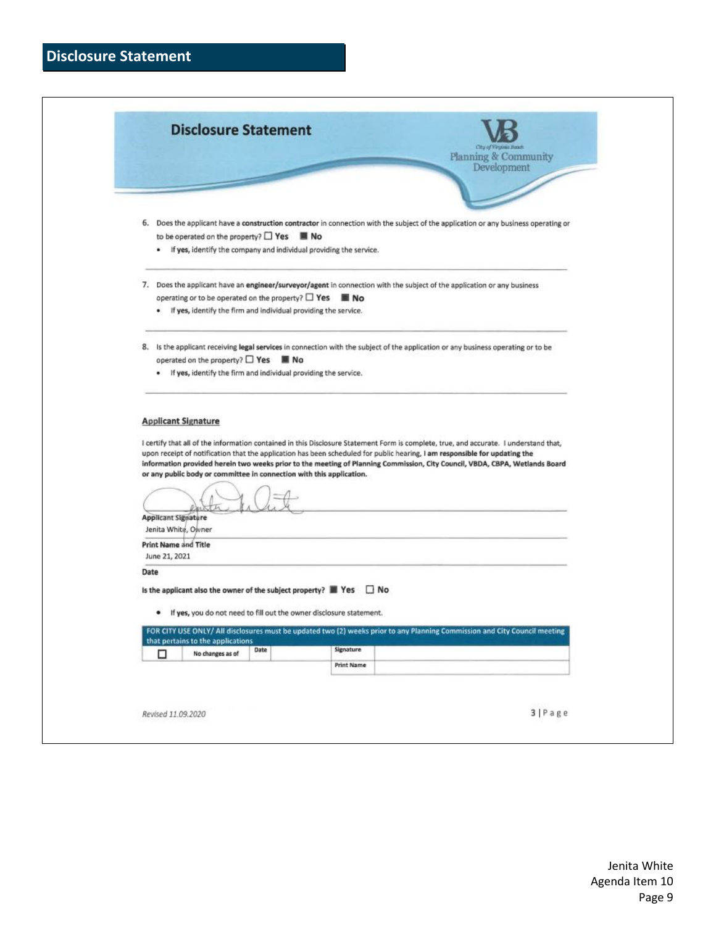# **Disclosure Statement**

|                                                                                                                                                                   | <b>Disclosure Statement</b><br>City of Virginia Bands                                                                               |
|-------------------------------------------------------------------------------------------------------------------------------------------------------------------|-------------------------------------------------------------------------------------------------------------------------------------|
|                                                                                                                                                                   | Planning & Community<br>Development                                                                                                 |
|                                                                                                                                                                   |                                                                                                                                     |
| to be operated on the property? $\Box$ Yes $\blacksquare$ No<br>· If yes, identify the company and individual providing the service.                              | 6. Does the applicant have a construction contractor in connection with the subject of the application or any business operating or |
|                                                                                                                                                                   | 7. Does the applicant have an engineer/surveyor/agent in connection with the subject of the application or any business             |
| operating or to be operated on the property? $\Box$ Yes $\blacksquare$ No                                                                                         |                                                                                                                                     |
| • If yes, identify the firm and individual providing the service.                                                                                                 |                                                                                                                                     |
| operated on the property? $\Box$ Yes $\blacksquare$ No                                                                                                            | 8. Is the applicant receiving legal services in connection with the subject of the application or any business operating or to be   |
| . If yes, identify the firm and individual providing the service.                                                                                                 |                                                                                                                                     |
|                                                                                                                                                                   |                                                                                                                                     |
| or any public body or committee in connection with this application.                                                                                              |                                                                                                                                     |
| <b>Applicant Signature</b><br>Jenita White, Owner                                                                                                                 |                                                                                                                                     |
| <b>Print Name and Title</b>                                                                                                                                       |                                                                                                                                     |
| June 21, 2021<br>Date                                                                                                                                             |                                                                                                                                     |
| Is the applicant also the owner of the subject property? $\blacksquare$ Yes $\Box$ No<br>If yes, you do not need to fill out the owner disclosure statement.<br>٠ |                                                                                                                                     |
|                                                                                                                                                                   | FOR CITY USE ONLY/ All disclosures must be updated two (2) weeks prior to any Planning Commission and City Council meeting          |
| that pertains to the applications<br>Date<br>No changes as of<br>□                                                                                                | Signature                                                                                                                           |
|                                                                                                                                                                   | <b>Print Name</b>                                                                                                                   |